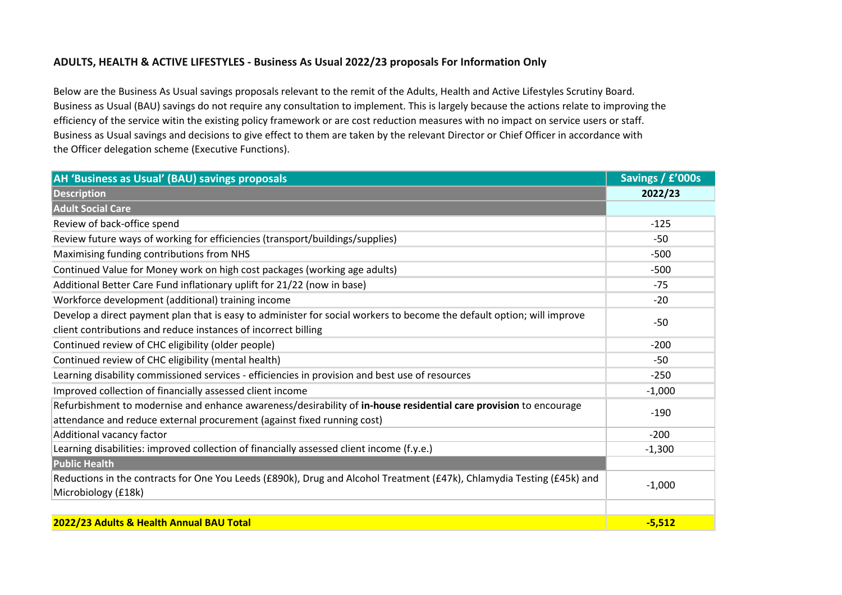## **ADULTS, HEALTH & ACTIVE LIFESTYLES - Business As Usual 2022/23 proposals For Information Only**

Below are the Business As Usual savings proposals relevant to the remit of the Adults, Health and Active Lifestyles Scrutiny Board. Business as Usual (BAU) savings do not require any consultation to implement. This is largely because the actions relate to improving the efficiency of the service witin the existing policy framework or are cost reduction measures with no impact on service users or staff. Business as Usual savings and decisions to give effect to them are taken by the relevant Director or Chief Officer in accordance with the Officer delegation scheme (Executive Functions).

| AH 'Business as Usual' (BAU) savings proposals                                                                         | Savings / £'000s |
|------------------------------------------------------------------------------------------------------------------------|------------------|
| <b>Description</b>                                                                                                     | 2022/23          |
| <b>Adult Social Care</b>                                                                                               |                  |
| Review of back-office spend                                                                                            | $-125$           |
| Review future ways of working for efficiencies (transport/buildings/supplies)                                          | -50              |
| Maximising funding contributions from NHS                                                                              | $-500$           |
| Continued Value for Money work on high cost packages (working age adults)                                              | $-500$           |
| Additional Better Care Fund inflationary uplift for 21/22 (now in base)                                                | $-75$            |
| Workforce development (additional) training income                                                                     | $-20$            |
| Develop a direct payment plan that is easy to administer for social workers to become the default option; will improve | $-50$            |
| client contributions and reduce instances of incorrect billing                                                         |                  |
| Continued review of CHC eligibility (older people)                                                                     | $-200$           |
| Continued review of CHC eligibility (mental health)                                                                    | -50              |
| Learning disability commissioned services - efficiencies in provision and best use of resources                        | $-250$           |
| Improved collection of financially assessed client income                                                              | $-1,000$         |
| Refurbishment to modernise and enhance awareness/desirability of in-house residential care provision to encourage      | $-190$           |
| attendance and reduce external procurement (against fixed running cost)                                                |                  |
| Additional vacancy factor                                                                                              | $-200$           |
| Learning disabilities: improved collection of financially assessed client income (f.y.e.)                              | $-1,300$         |
| <b>Public Health</b>                                                                                                   |                  |
| Reductions in the contracts for One You Leeds (£890k), Drug and Alcohol Treatment (£47k), Chlamydia Testing (£45k) and | $-1,000$         |
| Microbiology (£18k)                                                                                                    |                  |
|                                                                                                                        |                  |
| 2022/23 Adults & Health Annual BAU Total                                                                               | $-5,512$         |